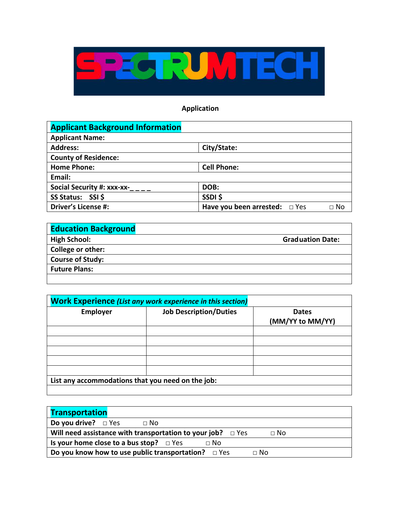

## **Application**

| <b>Applicant Background Information</b> |                                                 |
|-----------------------------------------|-------------------------------------------------|
| <b>Applicant Name:</b>                  |                                                 |
| <b>Address:</b>                         | City/State:                                     |
| <b>County of Residence:</b>             |                                                 |
| <b>Home Phone:</b>                      | <b>Cell Phone:</b>                              |
| Email:                                  |                                                 |
| Social Security #: xxx-xx-              | DOB:                                            |
| SS Status: SSI \$                       | SSDI\$                                          |
| <b>Driver's License #:</b>              | Have you been arrested: $\Box$ Yes<br>$\Box$ No |

| <b>Education Background</b> |                         |
|-----------------------------|-------------------------|
| <b>High School:</b>         | <b>Graduation Date:</b> |
| College or other:           |                         |
| <b>Course of Study:</b>     |                         |
| <b>Future Plans:</b>        |                         |
|                             |                         |

| <b>Work Experience (List any work experience in this section)</b> |                               |                                  |  |  |
|-------------------------------------------------------------------|-------------------------------|----------------------------------|--|--|
| <b>Employer</b>                                                   | <b>Job Description/Duties</b> | <b>Dates</b><br>(MM/YY to MM/YY) |  |  |
|                                                                   |                               |                                  |  |  |
|                                                                   |                               |                                  |  |  |
|                                                                   |                               |                                  |  |  |
|                                                                   |                               |                                  |  |  |
|                                                                   |                               |                                  |  |  |
| List any accommodations that you need on the job:                 |                               |                                  |  |  |
|                                                                   |                               |                                  |  |  |

| <b>Transportation</b>                                                           |  |
|---------------------------------------------------------------------------------|--|
| <b>Do you drive?</b> $\Box$ Yes<br>$\sqcap$ No                                  |  |
| Will need assistance with transportation to your job? $\Box$ Yes<br>$\sqcap$ No |  |
| Is your home close to a bus stop? $\Box$ Yes<br>$\Box$ No                       |  |
| Do you know how to use public transportation? $\Box$ Yes<br>$\sqcap$ No         |  |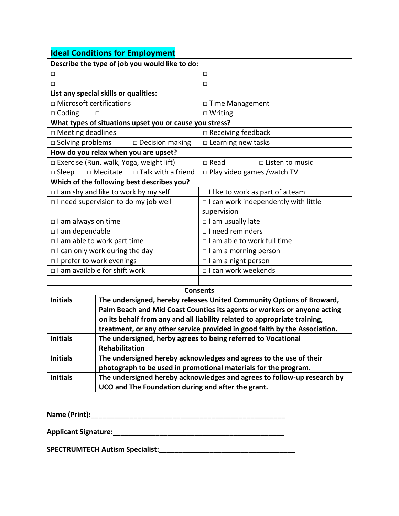| <b>Ideal Conditions for Employment</b>                                     |                                                                         |  |  |  |
|----------------------------------------------------------------------------|-------------------------------------------------------------------------|--|--|--|
| Describe the type of job you would like to do:                             |                                                                         |  |  |  |
| □                                                                          | □                                                                       |  |  |  |
| П                                                                          | $\Box$                                                                  |  |  |  |
| List any special skills or qualities:                                      |                                                                         |  |  |  |
| □ Microsoft certifications                                                 | □ Time Management                                                       |  |  |  |
| $\Box$ Coding<br>П                                                         | $\Box$ Writing                                                          |  |  |  |
| What types of situations upset you or cause you stress?                    |                                                                         |  |  |  |
| □ Meeting deadlines                                                        | □ Receiving feedback                                                    |  |  |  |
| $\square$ Solving problems<br>$\square$ Decision making                    | $\square$ Learning new tasks                                            |  |  |  |
| How do you relax when you are upset?                                       |                                                                         |  |  |  |
| □ Exercise (Run, walk, Yoga, weight lift)                                  | $\square$ Read<br>□ Listen to music                                     |  |  |  |
| □ Talk with a friend<br>□ Meditate<br>$\square$ Sleep                      | $\Box$ Play video games /watch TV                                       |  |  |  |
| Which of the following best describes you?                                 |                                                                         |  |  |  |
| $\Box$ I am shy and like to work by my self                                | $\Box$ I like to work as part of a team                                 |  |  |  |
| □ I need supervision to do my job well                                     | $\Box$ I can work independently with little                             |  |  |  |
|                                                                            | supervision                                                             |  |  |  |
| $\Box$ I am always on time                                                 | □ I am usually late                                                     |  |  |  |
| □ I am dependable                                                          | $\Box$ I need reminders                                                 |  |  |  |
| $\Box$ I am able to work part time                                         | □ I am able to work full time                                           |  |  |  |
| $\Box$ I can only work during the day                                      | $\Box$ I am a morning person                                            |  |  |  |
| □ I prefer to work evenings                                                | □ I am a night person                                                   |  |  |  |
| $\Box$ I am available for shift work                                       | □ I can work weekends                                                   |  |  |  |
|                                                                            |                                                                         |  |  |  |
|                                                                            | <b>Consents</b>                                                         |  |  |  |
| <b>Initials</b>                                                            | The undersigned, hereby releases United Community Options of Broward,   |  |  |  |
| Palm Beach and Mid Coast Counties its agents or workers or anyone acting   |                                                                         |  |  |  |
| on its behalf from any and all liability related to appropriate training,  |                                                                         |  |  |  |
| treatment, or any other service provided in good faith by the Association. |                                                                         |  |  |  |
| <b>Initials</b><br><b>Rehabilitation</b>                                   | The undersigned, herby agrees to being referred to Vocational           |  |  |  |
| <b>Initials</b>                                                            | The undersigned hereby acknowledges and agrees to the use of their      |  |  |  |
|                                                                            | photograph to be used in promotional materials for the program.         |  |  |  |
| <b>Initials</b>                                                            | The undersigned hereby acknowledges and agrees to follow-up research by |  |  |  |
| UCO and The Foundation during and after the grant.                         |                                                                         |  |  |  |

**Name (Print):\_\_\_\_\_\_\_\_\_\_\_\_\_\_\_\_\_\_\_\_\_\_\_\_\_\_\_\_\_\_\_\_\_\_\_\_\_\_\_\_\_\_\_\_\_\_\_\_\_\_**

**Applicant Signature:\_\_\_\_\_\_\_\_\_\_\_\_\_\_\_\_\_\_\_\_\_\_\_\_\_\_\_\_\_\_\_\_\_\_\_\_\_\_\_\_\_\_\_\_**

**SPECTRUMTECH Autism Specialist:\_\_\_\_\_\_\_\_\_\_\_\_\_\_\_\_\_\_\_\_\_\_\_\_\_\_\_\_\_\_\_\_\_\_\_**